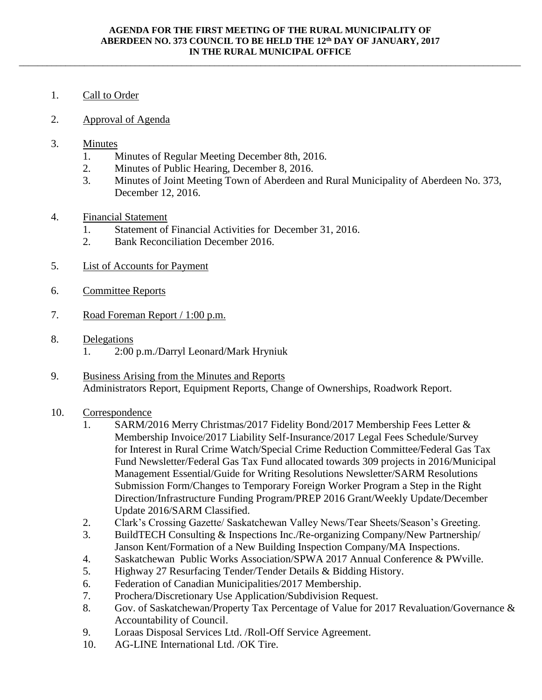\_\_\_\_\_\_\_\_\_\_\_\_\_\_\_\_\_\_\_\_\_\_\_\_\_\_\_\_\_\_\_\_\_\_\_\_\_\_\_\_\_\_\_\_\_\_\_\_\_\_\_\_\_\_\_\_\_\_\_\_\_\_\_\_\_\_\_\_\_\_\_\_\_\_\_\_\_\_\_\_\_\_\_\_\_\_\_\_\_\_\_\_\_\_\_\_\_\_\_\_\_\_\_\_\_\_\_\_

- 1. Call to Order
- 2. Approval of Agenda
- 3. Minutes
	- 1. Minutes of Regular Meeting December 8th, 2016.
	- 2. Minutes of Public Hearing, December 8, 2016.
	- 3. Minutes of Joint Meeting Town of Aberdeen and Rural Municipality of Aberdeen No. 373, December 12, 2016.
- 4. Financial Statement
	- 1. Statement of Financial Activities for December 31, 2016.
	- 2. Bank Reconciliation December 2016.
- 5. List of Accounts for Payment
- 6. Committee Reports
- 7. Road Foreman Report / 1:00 p.m.
- 8. Delegations
	- 1. 2:00 p.m./Darryl Leonard/Mark Hryniuk
- 9. Business Arising from the Minutes and Reports Administrators Report, Equipment Reports, Change of Ownerships, Roadwork Report.
- 10. Correspondence
	- 1. SARM/2016 Merry Christmas/2017 Fidelity Bond/2017 Membership Fees Letter & Membership Invoice/2017 Liability Self-Insurance/2017 Legal Fees Schedule/Survey for Interest in Rural Crime Watch/Special Crime Reduction Committee/Federal Gas Tax Fund Newsletter/Federal Gas Tax Fund allocated towards 309 projects in 2016/Municipal Management Essential/Guide for Writing Resolutions Newsletter/SARM Resolutions Submission Form/Changes to Temporary Foreign Worker Program a Step in the Right Direction/Infrastructure Funding Program/PREP 2016 Grant/Weekly Update/December Update 2016/SARM Classified.
	- 2. Clark's Crossing Gazette/ Saskatchewan Valley News/Tear Sheets/Season's Greeting.
	- 3. BuildTECH Consulting & Inspections Inc./Re-organizing Company/New Partnership/ Janson Kent/Formation of a New Building Inspection Company/MA Inspections.
	- 4. Saskatchewan Public Works Association/SPWA 2017 Annual Conference & PWville.
	- 5. Highway 27 Resurfacing Tender/Tender Details & Bidding History.
	- 6. Federation of Canadian Municipalities/2017 Membership.
	- 7. Prochera/Discretionary Use Application/Subdivision Request.
	- 8. Gov. of Saskatchewan/Property Tax Percentage of Value for 2017 Revaluation/Governance & Accountability of Council.
	- 9. Loraas Disposal Services Ltd. /Roll-Off Service Agreement.
	- 10. AG-LINE International Ltd. /OK Tire.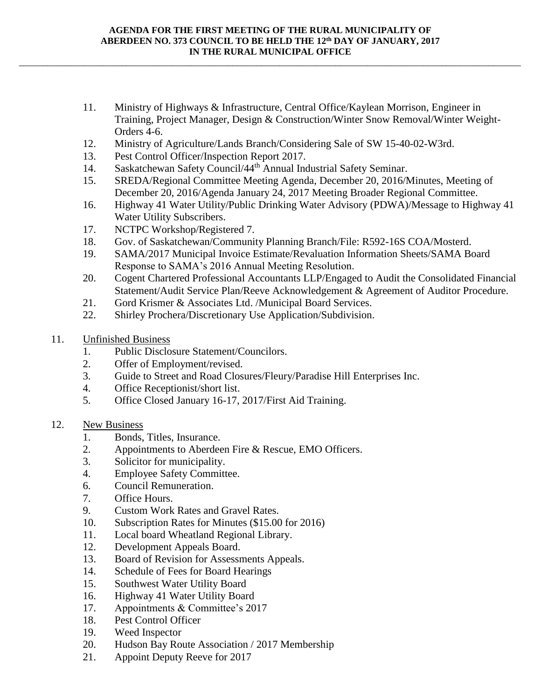## **AGENDA FOR THE FIRST MEETING OF THE RURAL MUNICIPALITY OF ABERDEEN NO. 373 COUNCIL TO BE HELD THE 12 th DAY OF JANUARY, 2017 IN THE RURAL MUNICIPAL OFFICE**

\_\_\_\_\_\_\_\_\_\_\_\_\_\_\_\_\_\_\_\_\_\_\_\_\_\_\_\_\_\_\_\_\_\_\_\_\_\_\_\_\_\_\_\_\_\_\_\_\_\_\_\_\_\_\_\_\_\_\_\_\_\_\_\_\_\_\_\_\_\_\_\_\_\_\_\_\_\_\_\_\_\_\_\_\_\_\_\_\_\_\_\_\_\_\_\_\_\_\_\_\_\_\_\_\_\_\_\_

- 11. Ministry of Highways & Infrastructure, Central Office/Kaylean Morrison, Engineer in Training, Project Manager, Design & Construction/Winter Snow Removal/Winter Weight-Orders 4-6.
- 12. Ministry of Agriculture/Lands Branch/Considering Sale of SW 15-40-02-W3rd.
- 13. Pest Control Officer/Inspection Report 2017.
- 14. Saskatchewan Safety Council/44<sup>th</sup> Annual Industrial Safety Seminar.
- 15. SREDA/Regional Committee Meeting Agenda, December 20, 2016/Minutes, Meeting of December 20, 2016/Agenda January 24, 2017 Meeting Broader Regional Committee.
- 16. Highway 41 Water Utility/Public Drinking Water Advisory (PDWA)/Message to Highway 41 Water Utility Subscribers.
- 17. NCTPC Workshop/Registered 7.
- 18. Gov. of Saskatchewan/Community Planning Branch/File: R592-16S COA/Mosterd.
- 19. SAMA/2017 Municipal Invoice Estimate/Revaluation Information Sheets/SAMA Board Response to SAMA's 2016 Annual Meeting Resolution.
- 20. Cogent Chartered Professional Accountants LLP/Engaged to Audit the Consolidated Financial Statement/Audit Service Plan/Reeve Acknowledgement & Agreement of Auditor Procedure.
- 21. Gord Krismer & Associates Ltd. /Municipal Board Services.
- 22. Shirley Prochera/Discretionary Use Application/Subdivision.
- 11. Unfinished Business
	- 1. Public Disclosure Statement/Councilors.
	- 2. Offer of Employment/revised.
	- 3. Guide to Street and Road Closures/Fleury/Paradise Hill Enterprises Inc.
	- 4. Office Receptionist/short list.
	- 5. Office Closed January 16-17, 2017/First Aid Training.
- 12. New Business
	- 1. Bonds, Titles, Insurance.
	- 2. Appointments to Aberdeen Fire & Rescue, EMO Officers.
	- 3. Solicitor for municipality.
	- 4. Employee Safety Committee.
	- 6. Council Remuneration.
	- 7. Office Hours.
	- 9. Custom Work Rates and Gravel Rates.
	- 10. Subscription Rates for Minutes (\$15.00 for 2016)
	- 11. Local board Wheatland Regional Library.
	- 12. Development Appeals Board.
	- 13. Board of Revision for Assessments Appeals.
	- 14. Schedule of Fees for Board Hearings
	- 15. Southwest Water Utility Board
	- 16. Highway 41 Water Utility Board
	- 17. Appointments & Committee's 2017
	- 18. Pest Control Officer
	- 19. Weed Inspector
	- 20. Hudson Bay Route Association / 2017 Membership
	- 21. Appoint Deputy Reeve for 2017